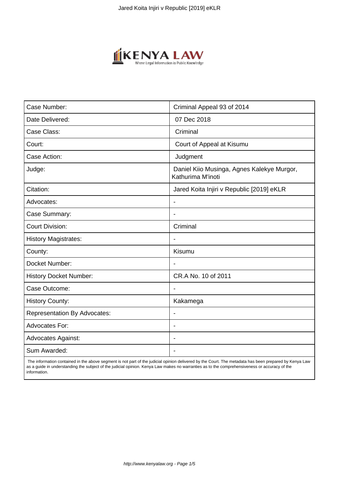

| Case Number:                        | Criminal Appeal 93 of 2014                                      |
|-------------------------------------|-----------------------------------------------------------------|
| Date Delivered:                     | 07 Dec 2018                                                     |
| Case Class:                         | Criminal                                                        |
| Court:                              | Court of Appeal at Kisumu                                       |
| Case Action:                        | Judgment                                                        |
| Judge:                              | Daniel Kiio Musinga, Agnes Kalekye Murgor,<br>Kathurima M'inoti |
| Citation:                           | Jared Koita Injiri v Republic [2019] eKLR                       |
| Advocates:                          |                                                                 |
| Case Summary:                       |                                                                 |
| <b>Court Division:</b>              | Criminal                                                        |
| <b>History Magistrates:</b>         | $\overline{\phantom{a}}$                                        |
| County:                             | Kisumu                                                          |
| Docket Number:                      |                                                                 |
| <b>History Docket Number:</b>       | CR.A No. 10 of 2011                                             |
| Case Outcome:                       |                                                                 |
| <b>History County:</b>              | Kakamega                                                        |
| <b>Representation By Advocates:</b> | $\overline{\phantom{a}}$                                        |
| Advocates For:                      |                                                                 |
| <b>Advocates Against:</b>           |                                                                 |
| Sum Awarded:                        |                                                                 |

 The information contained in the above segment is not part of the judicial opinion delivered by the Court. The metadata has been prepared by Kenya Law as a guide in understanding the subject of the judicial opinion. Kenya Law makes no warranties as to the comprehensiveness or accuracy of the information.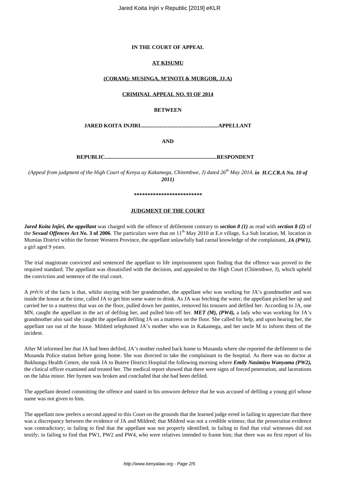## **IN THE COURT OF APPEAL**

#### **AT KISUMU**

### **(CORAM): MUSINGA, M'INOTI & MURGOR, JJ.A)**

### **CRIMINAL APPEAL NO. 93 OF 2014**

## **BETWEEN**

**JARED KOITA INJIRI.........................................................APPELLANT**

**AND**

**REPUBLIC..................................................................................RESPONDENT**

*(Appeal from judgment of the High Court of Kenya ay Kakamega, Chitembwe, J) dated 26th May 2014, in H.C.CR.A No. 10 of 2011)*

#### *\*\*\*\*\*\*\*\*\*\*\*\*\*\*\*\*\*\*\*\*\*\*\*\*\**

#### **JUDGMENT OF THE COURT**

*Jared Koita Injiri, the appellant* was charged with the offence of defilement contrary to *section 8 (1)* as read with *section 8 (2)* of the *Sexual Offences Act No.* **3 of 2006**. The particulars were that on 11<sup>th</sup> May 2010 at E.e village, S.a Sub location, M. location in Mumias District within the former Western Province, the appellant unlawfully had carnal knowledge of the complainant, *JA (PW1)*, a girl aged 9 years.

The trial magistrate convicted and sentenced the appellant to life imprisonment upon finding that the offence was proved to the required standard. The appellant was dissatisfied with the decision, and appealed to the High Court (Chitembwe, J), which upheld the conviction and sentence of the trial court.

A *précis* of the facts is that, whilst staying with her grandmother, the appellant who was working for JA's grandmother and was inside the house at the time, called JA to get him some water to drink. As JA was fetching the water, the appellant picked her up and carried her to a mattress that was on the floor, pulled down her panties, removed his trousers and defiled her. According to JA, one MN, caught the appellant in the act of defiling her, and pulled him off her. *MET (M), (PW4),* a lady who was working for JA's grandmother also said she caught the appellant defiling JA on a mattress on the floor. She called for help, and upon hearing her, the appellant ran out of the house. Mildred telephoned JA's mother who was in Kakamega, and her uncle M to inform them of the incident.

After M informed her that JA had been defiled, JA's mother rushed back home to Musanda where she reported the defilement to the Musanda Police station before going home. She was directed to take the complainant to the hospital. As there was no doctor at Bukhungu Health Centre, she took JA to Butere District Hospital the following morning where *Emily Nasimiyu Wanyama (PW2),* the clinical officer examined and treated her. The medical report showed that there were signs of forced penetration, and lacerations on the labia minor. Her hymen was broken and concluded that she had been defiled.

The appellant denied committing the offence and stated in his unsworn defence that he was accused of defiling a young girl whose name was not given to him.

The appellant now prefers a second appeal to this Court on the grounds that the learned judge erred in failing to appreciate that there was a discrepancy between the evidence of JA and Mildred; that Mildred was not a credible witness; that the prosecution evidence was contradictory; in failing to find that the appellant was not properly identified; in failing to find that vital witnesses did not testify; in failing to find that PW1, PW2 and PW4, who were relatives intended to frame him; that there was no first report of his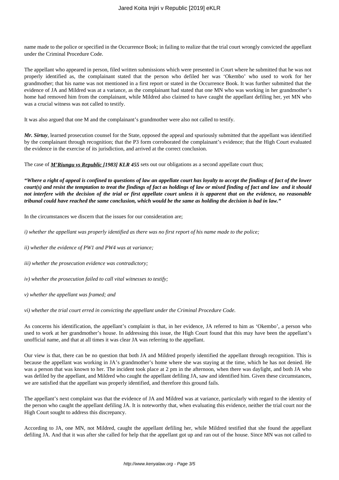name made to the police or specified in the Occurrence Book; in failing to realize that the trial court wrongly convicted the appellant under the Criminal Procedure Code.

The appellant who appeared in person, filed written submissions which were presented in Court where he submitted that he was not properly identified as, the complainant stated that the person who defiled her was 'Okembo' who used to work for her grandmother; that his name was not mentioned in a first report or stated in the Occurrence Book. It was further submitted that the evidence of JA and Mildred was at a variance, as the complainant had stated that one MN who was working in her grandmother's home had removed him from the complainant, while Mildred also claimed to have caught the appellant defiling her, yet MN who was a crucial witness was not called to testify.

It was also argued that one M and the complainant's grandmother were also not called to testify.

*Mr. Sirtuy*, learned prosecution counsel for the State, opposed the appeal and spuriously submitted that the appellant was identified by the complainant through recognition; that the P3 form corroborated the complainant's evidence; that the High Court evaluated the evidence in the exercise of its jurisdiction, and arrived at the correct conclusion.

The case of *M'Riungu vs Republic [1983] KLR 455* sets out our obligations as a second appellate court thus;

*"Where a right of appeal is confined to questions of law an appellate court has loyalty to accept the findings of fact of the lower court(s) and resist the temptation to treat the findings of fact as holdings of law or mixed finding of fact and law and it should not interfere with the decision of the trial or first appellate court unless it is apparent that on the evidence, no reasonable tribunal could have reached the same conclusion, which would be the same as holding the decision is bad in law."*

In the circumstances we discern that the issues for our consideration are;

*i)* whether the appellant was properly identified as there was no first report of his name made to the police;

*ii) whether the evidence of PW1 and PW4 was at variance;* 

*iii) whether the prosecution evidence was contradictory;* 

- *iv) whether the prosecution failed to call vital witnesses to testify;*
- *v) whether the appellant was framed; and*

*vi) whether the trial court erred in convicting the appellant under the Criminal Procedure Code.*

As concerns his identification, the appellant's complaint is that, in her evidence, JA referred to him as 'Okembo', a person who used to work at her grandmother's house. In addressing this issue, the High Court found that this may have been the appellant's unofficial name, and that at all times it was clear JA was referring to the appellant.

Our view is that, there can be no question that both JA and Mildred properly identified the appellant through recognition. This is because the appellant was working in JA's grandmother's home where she was staying at the time, which he has not denied. He was a person that was known to her. The incident took place at 2 pm in the afternoon, when there was daylight, and both JA who was defiled by the appellant, and Mildred who caught the appellant defiling JA, saw and identified him. Given these circumstances, we are satisfied that the appellant was properly identified, and therefore this ground fails.

The appellant's next complaint was that the evidence of JA and Mildred was at variance, particularly with regard to the identity of the person who caught the appellant defiling JA. It is noteworthy that, when evaluating this evidence, neither the trial court nor the High Court sought to address this discrepancy.

According to JA, one MN, not Mildred, caught the appellant defiling her, while Mildred testified that she found the appellant defiling JA. And that it was after she called for help that the appellant got up and ran out of the house. Since MN was not called to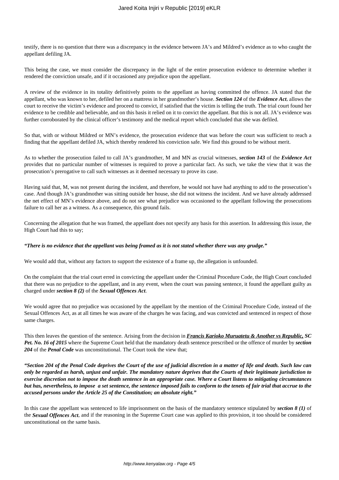testify, there is no question that there was a discrepancy in the evidence between JA's and Mildred's evidence as to who caught the appellant defiling JA.

This being the case, we must consider the discrepancy in the light of the entire prosecution evidence to determine whether it rendered the conviction unsafe, and if it occasioned any prejudice upon the appellant.

A review of the evidence in its totality definitively points to the appellant as having committed the offence. JA stated that the appellant, who was known to her, defiled her on a mattress in her grandmother's house. *Section 124* of the *Evidence Act,* allows the court to receive the victim's evidence and proceed to convict, if satisfied that the victim is telling the truth. The trial court found her evidence to be credible and believable, and on this basis it relied on it to convict the appellant. But this is not all. JA's evidence was further corroborated by the clinical officer's testimony and the medical report which concluded that she was defiled.

So that, with or without Mildred or MN's evidence, the prosecution evidence that was before the court was sufficient to reach a finding that the appellant defiled JA, which thereby rendered his conviction safe. We find this ground to be without merit.

As to whether the prosecution failed to call JA's grandmother, M and MN as crucial witnesses, *section 143* of the *Evidence Act* provides that no particular number of witnesses is required to prove a particular fact. As such, we take the view that it was the prosecution's prerogative to call such witnesses as it deemed necessary to prove its case.

Having said that, M, was not present during the incident, and therefore, he would not have had anything to add to the prosecution's case. And though JA's grandmother was sitting outside her house, she did not witness the incident. And we have already addressed the net effect of MN's evidence above, and do not see what prejudice was occasioned to the appellant following the prosecutions failure to call her as a witness. As a consequence, this ground fails.

Concerning the allegation that he was framed, the appellant does not specify any basis for this assertion. In addressing this issue, the High Court had this to say;

#### *"There is no evidence that the appellant was being framed as it is not stated whether there was any grudge."*

We would add that, without any factors to support the existence of a frame up, the allegation is unfounded.

On the complaint that the trial court erred in convicting the appellant under the Criminal Procedure Code, the High Court concluded that there was no prejudice to the appellant, and in any event, when the court was passing sentence, it found the appellant guilty as charged under *section 8 (2)* of the *Sexual Offences Act*.

We would agree that no prejudice was occasioned by the appellant by the mention of the Criminal Procedure Code, instead of the Sexual Offences Act, as at all times he was aware of the charges he was facing, and was convicted and sentenced in respect of those same charges.

This then leaves the question of the sentence. Arising from the decision in *Francis Karioko Muruatetu & Another vs Republic, SC Pet. No. 16 of 2015* where the Supreme Court held that the mandatory death sentence prescribed or the offence of murder by *section 204* of the *Penal Code* was unconstitutional. The Court took the view that;

*"Section 204 of the Penal Code deprives the Court of the use of judicial discretion in a matter of life and death. Such law can only be regarded as harsh, unjust and unfair. The mandatory nature deprives that the Courts of their legitimate jurisdiction to exercise discretion not to impose the death sentence in an appropriate case. Where a Court listens to mitigating circumstances but has, nevertheless, to impose a set sentence, the sentence imposed fails to conform to the tenets of fair trial that accrue to the accused persons under the Article 25 of the Constitution; an absolute right."* 

In this case the appellant was sentenced to life imprisonment on the basis of the mandatory sentence stipulated by *section 8 (1)* of the *Sexual Offences Act*, and if the reasoning in the Supreme Court case was applied to this provision, it too should be considered unconstitutional on the same basis.